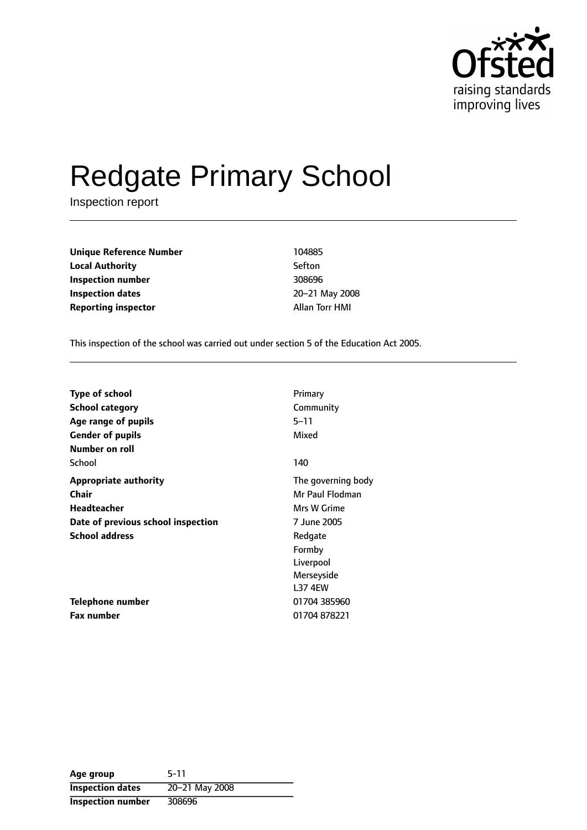

# Redgate Primary School

Inspection report

| <b>Unique Reference Number</b> | 104885         |  |
|--------------------------------|----------------|--|
| <b>Local Authority</b>         | Sefton         |  |
| Inspection number              | 308696         |  |
| <b>Inspection dates</b>        | 20-21 May 200  |  |
| <b>Reporting inspector</b>     | Allan Torr HMI |  |

**Inspection number** 308696 **Inspection dates** 2021 May 2008

This inspection of the school was carried out under section 5 of the Education Act 2005.

| <b>Type of school</b>              | Primary            |
|------------------------------------|--------------------|
| <b>School category</b>             | Community          |
| Age range of pupils                | 5–11               |
| <b>Gender of pupils</b>            | Mixed              |
| Number on roll                     |                    |
| School                             | 140                |
| <b>Appropriate authority</b>       | The governing body |
| Chair                              | Mr Paul Flodman    |
| <b>Headteacher</b>                 | Mrs W Grime        |
| Date of previous school inspection | 7 June 2005        |
| <b>School address</b>              | Redgate            |
|                                    | Formby             |
|                                    | Liverpool          |
|                                    | Merseyside         |
|                                    | <b>L37 4EW</b>     |
| Telephone number                   | 01704 385960       |
| <b>Fax number</b>                  | 01704878221        |

| Age group                | $5-11$         |
|--------------------------|----------------|
| <b>Inspection dates</b>  | 20-21 May 2008 |
| <b>Inspection number</b> | 308696         |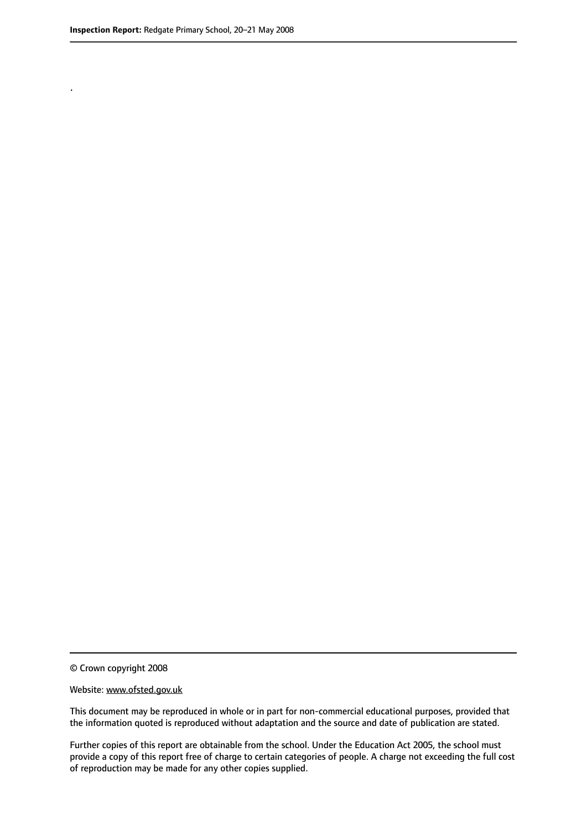.

© Crown copyright 2008

#### Website: www.ofsted.gov.uk

This document may be reproduced in whole or in part for non-commercial educational purposes, provided that the information quoted is reproduced without adaptation and the source and date of publication are stated.

Further copies of this report are obtainable from the school. Under the Education Act 2005, the school must provide a copy of this report free of charge to certain categories of people. A charge not exceeding the full cost of reproduction may be made for any other copies supplied.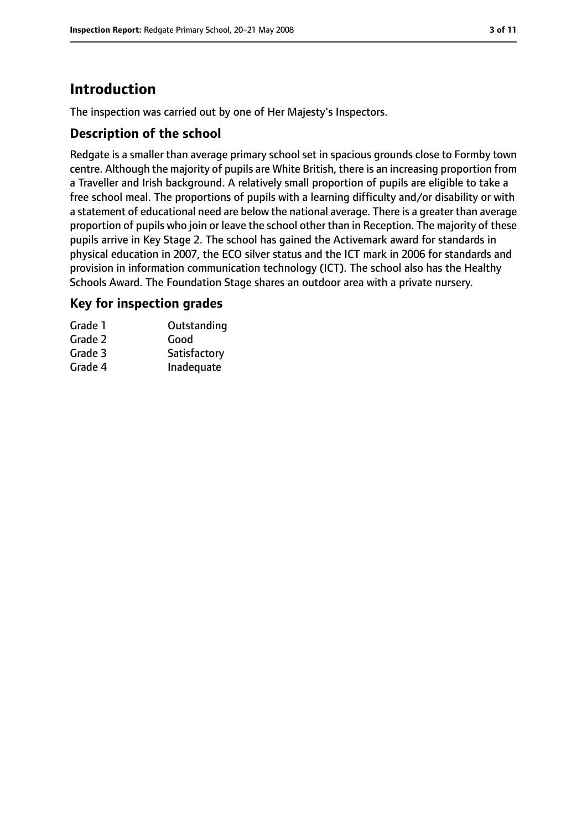# **Introduction**

The inspection was carried out by one of Her Majesty's Inspectors.

#### **Description of the school**

Redgate is a smaller than average primary school set in spacious grounds close to Formby town centre. Although the majority of pupils are White British, there is an increasing proportion from a Traveller and Irish background. A relatively small proportion of pupils are eligible to take a free school meal. The proportions of pupils with a learning difficulty and/or disability or with a statement of educational need are below the national average. There is a greater than average proportion of pupils who join or leave the school other than in Reception. The majority of these pupils arrive in Key Stage 2. The school has gained the Activemark award for standards in physical education in 2007, the ECO silver status and the ICT mark in 2006 for standards and provision in information communication technology (ICT). The school also has the Healthy Schools Award. The Foundation Stage shares an outdoor area with a private nursery.

#### **Key for inspection grades**

| Outstanding  |
|--------------|
| Good         |
| Satisfactory |
| Inadequate   |
|              |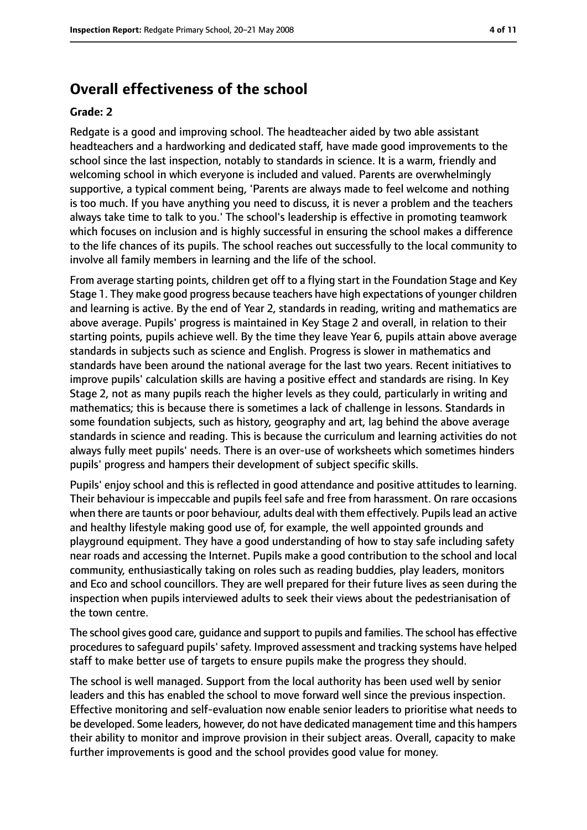## **Overall effectiveness of the school**

#### **Grade: 2**

Redgate is a good and improving school. The headteacher aided by two able assistant headteachers and a hardworking and dedicated staff, have made good improvements to the school since the last inspection, notably to standards in science. It is a warm, friendly and welcoming school in which everyone is included and valued. Parents are overwhelmingly supportive, a typical comment being, 'Parents are always made to feel welcome and nothing is too much. If you have anything you need to discuss, it is never a problem and the teachers always take time to talk to you.' The school's leadership is effective in promoting teamwork which focuses on inclusion and is highly successful in ensuring the school makes a difference to the life chances of its pupils. The school reaches out successfully to the local community to involve all family members in learning and the life of the school.

From average starting points, children get off to a flying start in the Foundation Stage and Key Stage 1. They make good progress because teachers have high expectations of younger children and learning is active. By the end of Year 2, standards in reading, writing and mathematics are above average. Pupils' progress is maintained in Key Stage 2 and overall, in relation to their starting points, pupils achieve well. By the time they leave Year 6, pupils attain above average standards in subjects such as science and English. Progress is slower in mathematics and standards have been around the national average for the last two years. Recent initiatives to improve pupils' calculation skills are having a positive effect and standards are rising. In Key Stage 2, not as many pupils reach the higher levels as they could, particularly in writing and mathematics; this is because there is sometimes a lack of challenge in lessons. Standards in some foundation subjects, such as history, geography and art, lag behind the above average standards in science and reading. This is because the curriculum and learning activities do not always fully meet pupils' needs. There is an over-use of worksheets which sometimes hinders pupils' progress and hampers their development of subject specific skills.

Pupils' enjoy school and this is reflected in good attendance and positive attitudes to learning. Their behaviour is impeccable and pupils feel safe and free from harassment. On rare occasions when there are taunts or poor behaviour, adults deal with them effectively. Pupils lead an active and healthy lifestyle making good use of, for example, the well appointed grounds and playground equipment. They have a good understanding of how to stay safe including safety near roads and accessing the Internet. Pupils make a good contribution to the school and local community, enthusiastically taking on roles such as reading buddies, play leaders, monitors and Eco and school councillors. They are well prepared for their future lives as seen during the inspection when pupils interviewed adults to seek their views about the pedestrianisation of the town centre.

The school gives good care, guidance and support to pupils and families. The school has effective procedures to safeguard pupils' safety. Improved assessment and tracking systems have helped staff to make better use of targets to ensure pupils make the progress they should.

The school is well managed. Support from the local authority has been used well by senior leaders and this has enabled the school to move forward well since the previous inspection. Effective monitoring and self-evaluation now enable senior leaders to prioritise what needs to be developed. Some leaders, however, do not have dedicated management time and this hampers their ability to monitor and improve provision in their subject areas. Overall, capacity to make further improvements is good and the school provides good value for money.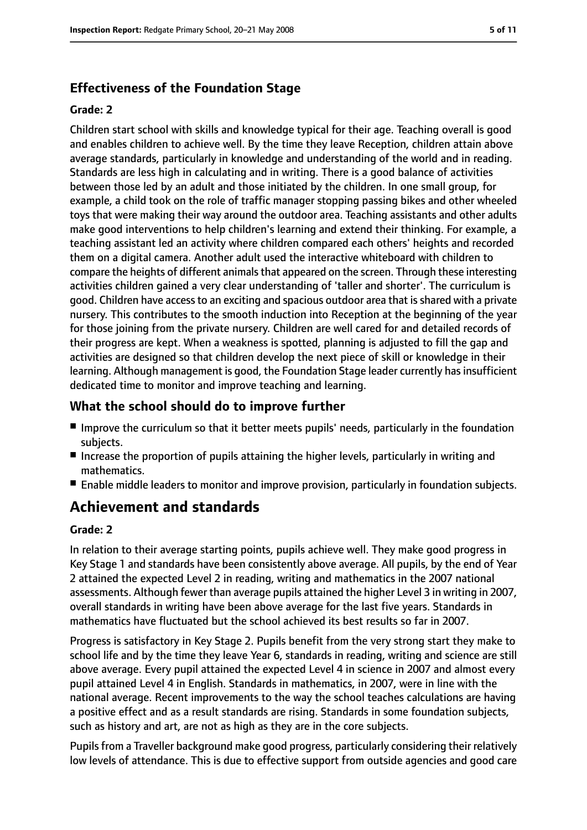## **Effectiveness of the Foundation Stage**

#### **Grade: 2**

Children start school with skills and knowledge typical for their age. Teaching overall is good and enables children to achieve well. By the time they leave Reception, children attain above average standards, particularly in knowledge and understanding of the world and in reading. Standards are less high in calculating and in writing. There is a good balance of activities between those led by an adult and those initiated by the children. In one small group, for example, a child took on the role of traffic manager stopping passing bikes and other wheeled toys that were making their way around the outdoor area. Teaching assistants and other adults make good interventions to help children's learning and extend their thinking. For example, a teaching assistant led an activity where children compared each others' heights and recorded them on a digital camera. Another adult used the interactive whiteboard with children to compare the heights of different animals that appeared on the screen. Through these interesting activities children gained a very clear understanding of 'taller and shorter'. The curriculum is good. Children have access to an exciting and spacious outdoor area that is shared with a private nursery. This contributes to the smooth induction into Reception at the beginning of the year for those joining from the private nursery. Children are well cared for and detailed records of their progress are kept. When a weakness is spotted, planning is adjusted to fill the gap and activities are designed so that children develop the next piece of skill or knowledge in their learning. Although management is good, the Foundation Stage leader currently has insufficient dedicated time to monitor and improve teaching and learning.

## **What the school should do to improve further**

- Improve the curriculum so that it better meets pupils' needs, particularly in the foundation subjects.
- Increase the proportion of pupils attaining the higher levels, particularly in writing and mathematics.
- Enable middle leaders to monitor and improve provision, particularly in foundation subjects.

# **Achievement and standards**

#### **Grade: 2**

In relation to their average starting points, pupils achieve well. They make good progress in Key Stage 1 and standards have been consistently above average. All pupils, by the end of Year 2 attained the expected Level 2 in reading, writing and mathematics in the 2007 national assessments. Although fewer than average pupils attained the higher Level 3 in writing in 2007, overall standards in writing have been above average for the last five years. Standards in mathematics have fluctuated but the school achieved its best results so far in 2007.

Progress is satisfactory in Key Stage 2. Pupils benefit from the very strong start they make to school life and by the time they leave Year 6, standards in reading, writing and science are still above average. Every pupil attained the expected Level 4 in science in 2007 and almost every pupil attained Level 4 in English. Standards in mathematics, in 2007, were in line with the national average. Recent improvements to the way the school teaches calculations are having a positive effect and as a result standards are rising. Standards in some foundation subjects, such as history and art, are not as high as they are in the core subjects.

Pupils from a Traveller background make good progress, particularly considering their relatively low levels of attendance. This is due to effective support from outside agencies and good care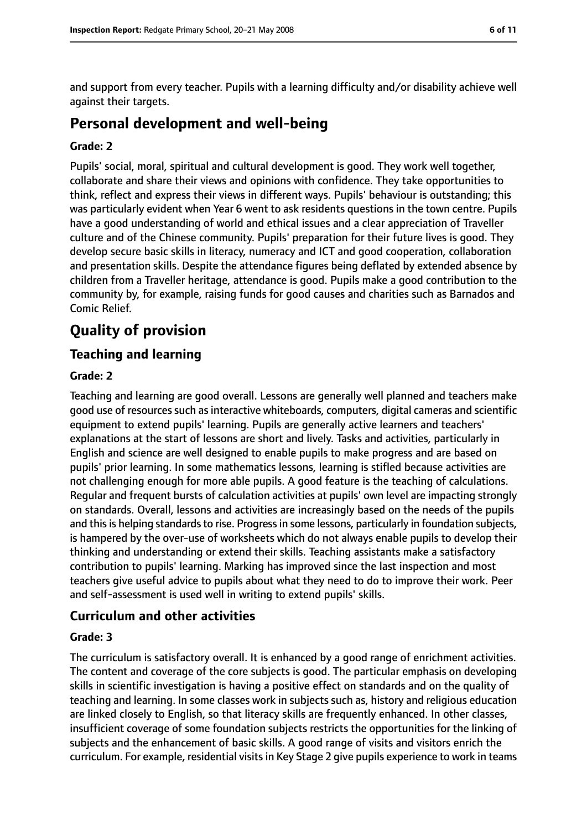and support from every teacher. Pupils with a learning difficulty and/or disability achieve well against their targets.

## **Personal development and well-being**

#### **Grade: 2**

Pupils' social, moral, spiritual and cultural development is good. They work well together, collaborate and share their views and opinions with confidence. They take opportunities to think, reflect and express their views in different ways. Pupils' behaviour is outstanding; this was particularly evident when Year 6 went to ask residents questions in the town centre. Pupils have a good understanding of world and ethical issues and a clear appreciation of Traveller culture and of the Chinese community. Pupils' preparation for their future lives is good. They develop secure basic skills in literacy, numeracy and ICT and good cooperation, collaboration and presentation skills. Despite the attendance figures being deflated by extended absence by children from a Traveller heritage, attendance is good. Pupils make a good contribution to the community by, for example, raising funds for good causes and charities such as Barnados and Comic Relief.

# **Quality of provision**

## **Teaching and learning**

#### **Grade: 2**

Teaching and learning are good overall. Lessons are generally well planned and teachers make good use of resources such as interactive whiteboards, computers, digital cameras and scientific equipment to extend pupils' learning. Pupils are generally active learners and teachers' explanations at the start of lessons are short and lively. Tasks and activities, particularly in English and science are well designed to enable pupils to make progress and are based on pupils' prior learning. In some mathematics lessons, learning is stifled because activities are not challenging enough for more able pupils. A good feature is the teaching of calculations. Regular and frequent bursts of calculation activities at pupils' own level are impacting strongly on standards. Overall, lessons and activities are increasingly based on the needs of the pupils and this is helping standards to rise. Progress in some lessons, particularly in foundation subjects, is hampered by the over-use of worksheets which do not always enable pupils to develop their thinking and understanding or extend their skills. Teaching assistants make a satisfactory contribution to pupils' learning. Marking has improved since the last inspection and most teachers give useful advice to pupils about what they need to do to improve their work. Peer and self-assessment is used well in writing to extend pupils' skills.

## **Curriculum and other activities**

#### **Grade: 3**

The curriculum is satisfactory overall. It is enhanced by a good range of enrichment activities. The content and coverage of the core subjects is good. The particular emphasis on developing skills in scientific investigation is having a positive effect on standards and on the quality of teaching and learning. In some classes work in subjects such as, history and religious education are linked closely to English, so that literacy skills are frequently enhanced. In other classes, insufficient coverage of some foundation subjects restricts the opportunities for the linking of subjects and the enhancement of basic skills. A good range of visits and visitors enrich the curriculum. For example, residential visits in Key Stage 2 give pupils experience to work in teams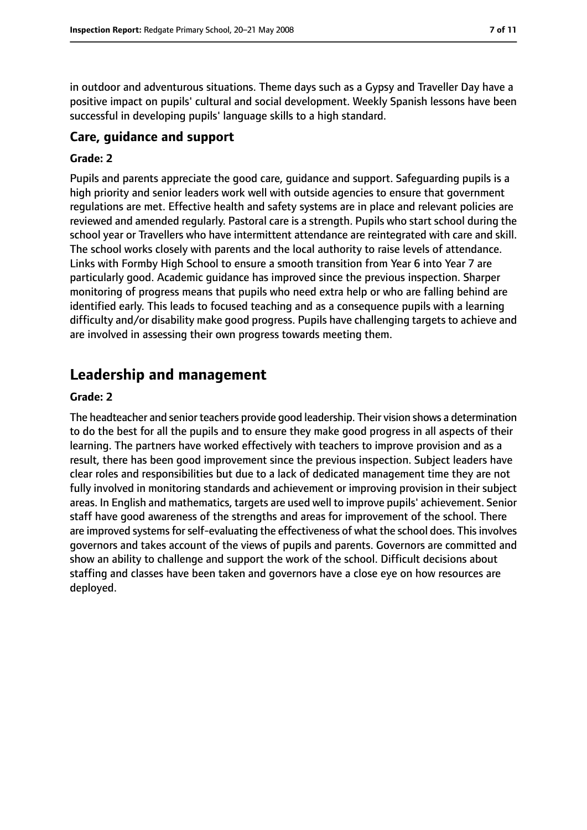in outdoor and adventurous situations. Theme days such as a Gypsy and Traveller Day have a positive impact on pupils' cultural and social development. Weekly Spanish lessons have been successful in developing pupils' language skills to a high standard.

## **Care, guidance and support**

#### **Grade: 2**

Pupils and parents appreciate the good care, guidance and support. Safeguarding pupils is a high priority and senior leaders work well with outside agencies to ensure that government regulations are met. Effective health and safety systems are in place and relevant policies are reviewed and amended regularly. Pastoral care is a strength. Pupils who start school during the school year or Travellers who have intermittent attendance are reintegrated with care and skill. The school works closely with parents and the local authority to raise levels of attendance. Links with Formby High School to ensure a smooth transition from Year 6 into Year 7 are particularly good. Academic guidance has improved since the previous inspection. Sharper monitoring of progress means that pupils who need extra help or who are falling behind are identified early. This leads to focused teaching and as a consequence pupils with a learning difficulty and/or disability make good progress. Pupils have challenging targets to achieve and are involved in assessing their own progress towards meeting them.

## **Leadership and management**

#### **Grade: 2**

The headteacher and senior teachers provide good leadership. Their vision shows a determination to do the best for all the pupils and to ensure they make good progress in all aspects of their learning. The partners have worked effectively with teachers to improve provision and as a result, there has been good improvement since the previous inspection. Subject leaders have clear roles and responsibilities but due to a lack of dedicated management time they are not fully involved in monitoring standards and achievement or improving provision in their subject areas. In English and mathematics, targets are used well to improve pupils' achievement. Senior staff have good awareness of the strengths and areas for improvement of the school. There are improved systems for self-evaluating the effectiveness of what the school does. This involves governors and takes account of the views of pupils and parents. Governors are committed and show an ability to challenge and support the work of the school. Difficult decisions about staffing and classes have been taken and governors have a close eye on how resources are deployed.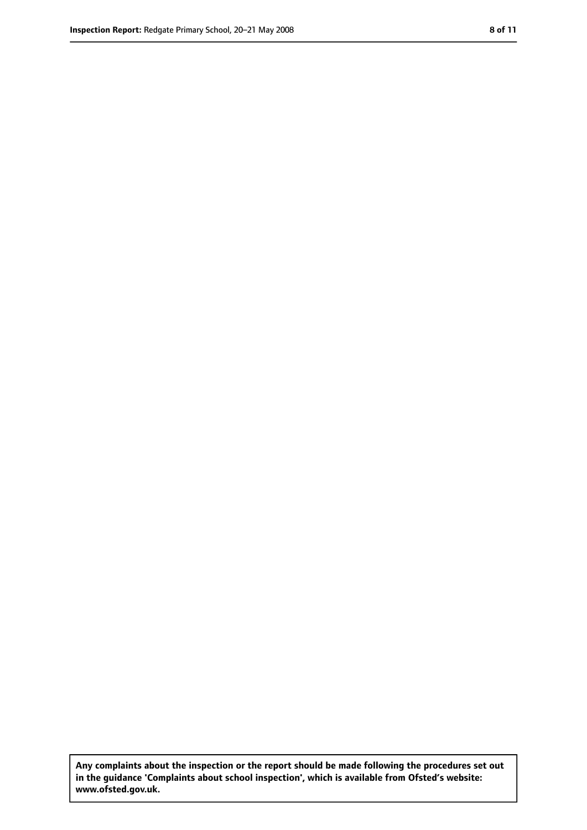**Any complaints about the inspection or the report should be made following the procedures set out in the guidance 'Complaints about school inspection', which is available from Ofsted's website: www.ofsted.gov.uk.**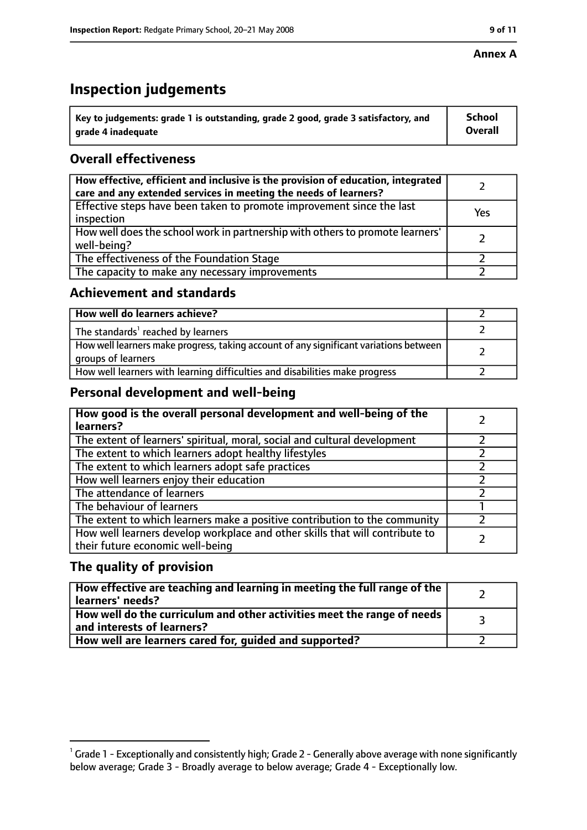#### **Annex A**

# **Inspection judgements**

| $^{\backprime}$ Key to judgements: grade 1 is outstanding, grade 2 good, grade 3 satisfactory, and | <b>School</b>  |
|----------------------------------------------------------------------------------------------------|----------------|
| arade 4 inadequate                                                                                 | <b>Overall</b> |

## **Overall effectiveness**

| How effective, efficient and inclusive is the provision of education, integrated<br>care and any extended services in meeting the needs of learners? |     |
|------------------------------------------------------------------------------------------------------------------------------------------------------|-----|
| Effective steps have been taken to promote improvement since the last<br>inspection                                                                  | Yes |
| How well does the school work in partnership with others to promote learners'<br>well-being?                                                         |     |
| The effectiveness of the Foundation Stage                                                                                                            |     |
| The capacity to make any necessary improvements                                                                                                      |     |

#### **Achievement and standards**

| How well do learners achieve?                                                                               |  |
|-------------------------------------------------------------------------------------------------------------|--|
| The standards <sup>1</sup> reached by learners                                                              |  |
| How well learners make progress, taking account of any significant variations between<br>groups of learners |  |
| How well learners with learning difficulties and disabilities make progress                                 |  |

## **Personal development and well-being**

| How good is the overall personal development and well-being of the<br>learners?                                  |  |
|------------------------------------------------------------------------------------------------------------------|--|
| The extent of learners' spiritual, moral, social and cultural development                                        |  |
| The extent to which learners adopt healthy lifestyles                                                            |  |
| The extent to which learners adopt safe practices                                                                |  |
| How well learners enjoy their education                                                                          |  |
| The attendance of learners                                                                                       |  |
| The behaviour of learners                                                                                        |  |
| The extent to which learners make a positive contribution to the community                                       |  |
| How well learners develop workplace and other skills that will contribute to<br>their future economic well-being |  |

## **The quality of provision**

| How effective are teaching and learning in meeting the full range of the<br>learners' needs?          |  |
|-------------------------------------------------------------------------------------------------------|--|
| How well do the curriculum and other activities meet the range of needs<br>and interests of learners? |  |
| How well are learners cared for, guided and supported?                                                |  |

 $^1$  Grade 1 - Exceptionally and consistently high; Grade 2 - Generally above average with none significantly below average; Grade 3 - Broadly average to below average; Grade 4 - Exceptionally low.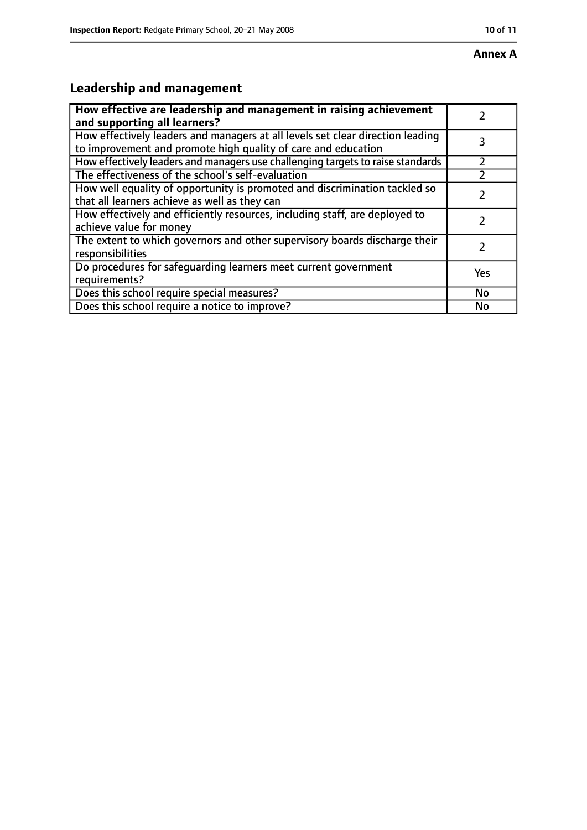# **Annex A**

# **Leadership and management**

| How effective are leadership and management in raising achievement<br>and supporting all learners?                                              |     |
|-------------------------------------------------------------------------------------------------------------------------------------------------|-----|
| How effectively leaders and managers at all levels set clear direction leading<br>to improvement and promote high quality of care and education |     |
| How effectively leaders and managers use challenging targets to raise standards                                                                 |     |
| The effectiveness of the school's self-evaluation                                                                                               |     |
| How well equality of opportunity is promoted and discrimination tackled so<br>that all learners achieve as well as they can                     |     |
| How effectively and efficiently resources, including staff, are deployed to<br>achieve value for money                                          |     |
| The extent to which governors and other supervisory boards discharge their<br>responsibilities                                                  |     |
| Do procedures for safequarding learners meet current government<br>requirements?                                                                | Yes |
| Does this school require special measures?                                                                                                      | No  |
| Does this school require a notice to improve?                                                                                                   | No  |